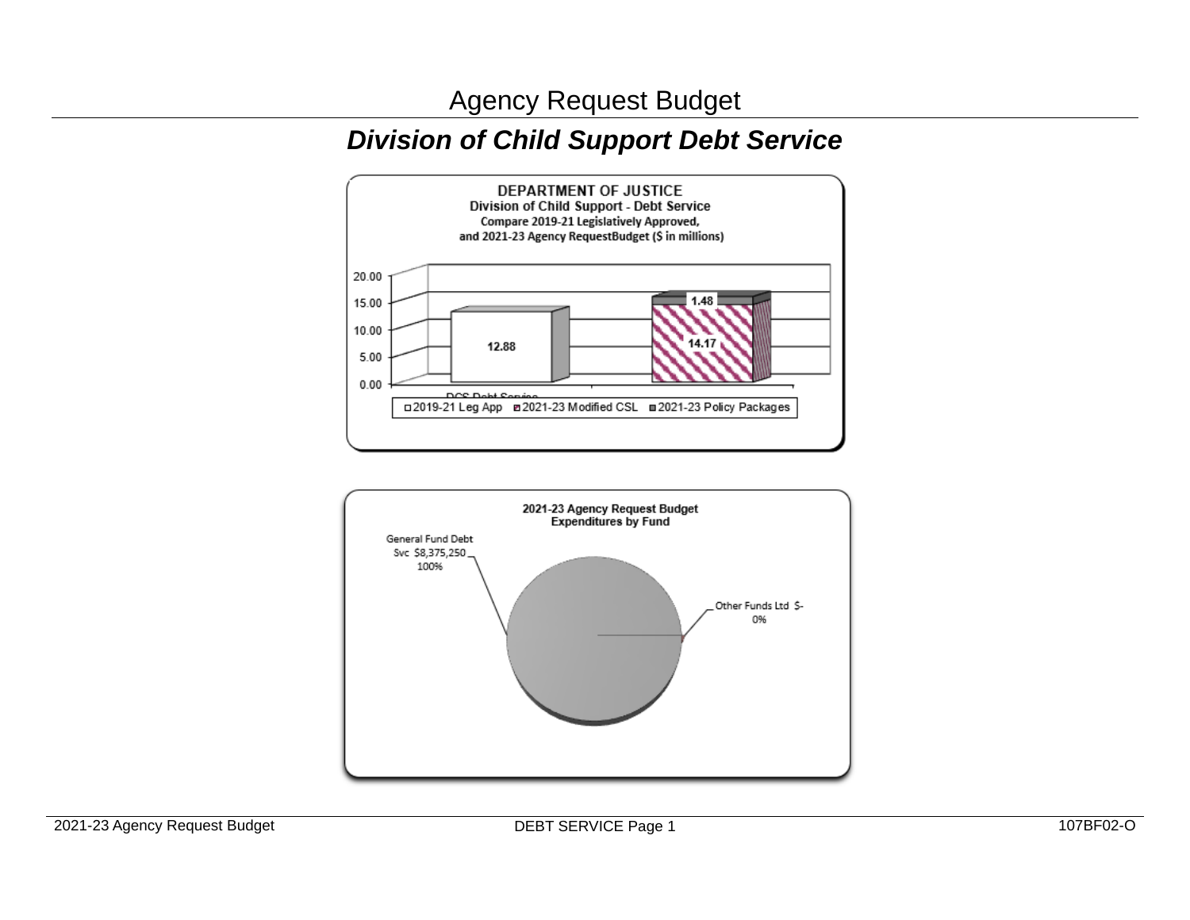Agency Request Budget

# *Division of Child Support Debt Service*



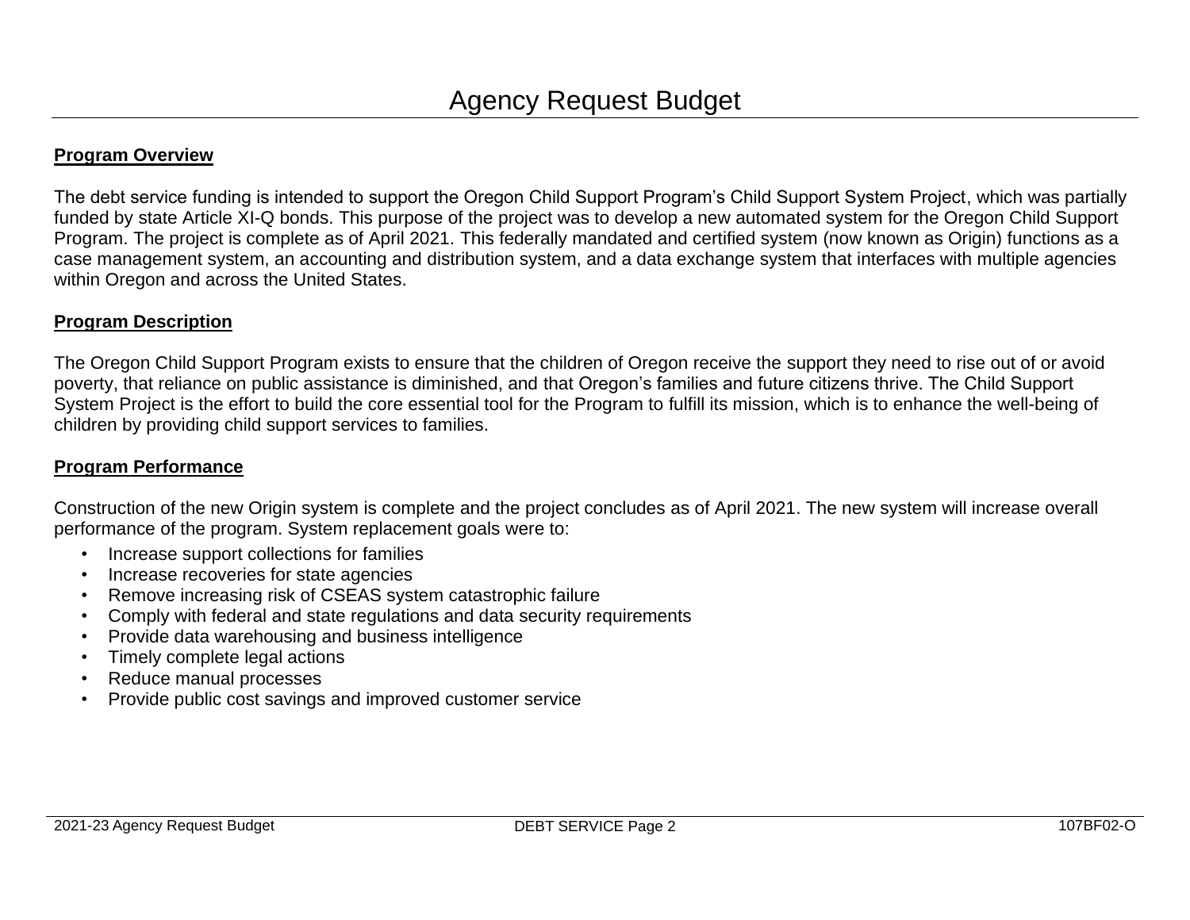### **Program Overview**

The debt service funding is intended to support the Oregon Child Support Program's Child Support System Project, which was partially funded by state Article XI-Q bonds. This purpose of the project was to develop a new automated system for the Oregon Child Support Program. The project is complete as of April 2021. This federally mandated and certified system (now known as Origin) functions as a case management system, an accounting and distribution system, and a data exchange system that interfaces with multiple agencies within Oregon and across the United States.

### **Program Description**

The Oregon Child Support Program exists to ensure that the children of Oregon receive the support they need to rise out of or avoid poverty, that reliance on public assistance is diminished, and that Oregon's families and future citizens thrive. The Child Support System Project is the effort to build the core essential tool for the Program to fulfill its mission, which is to enhance the well-being of children by providing child support services to families.

### **Program Performance**

Construction of the new Origin system is complete and the project concludes as of April 2021. The new system will increase overall performance of the program. System replacement goals were to:

- Increase support collections for families
- Increase recoveries for state agencies
- Remove increasing risk of CSEAS system catastrophic failure
- Comply with federal and state regulations and data security requirements
- Provide data warehousing and business intelligence
- Timely complete legal actions
- Reduce manual processes
- Provide public cost savings and improved customer service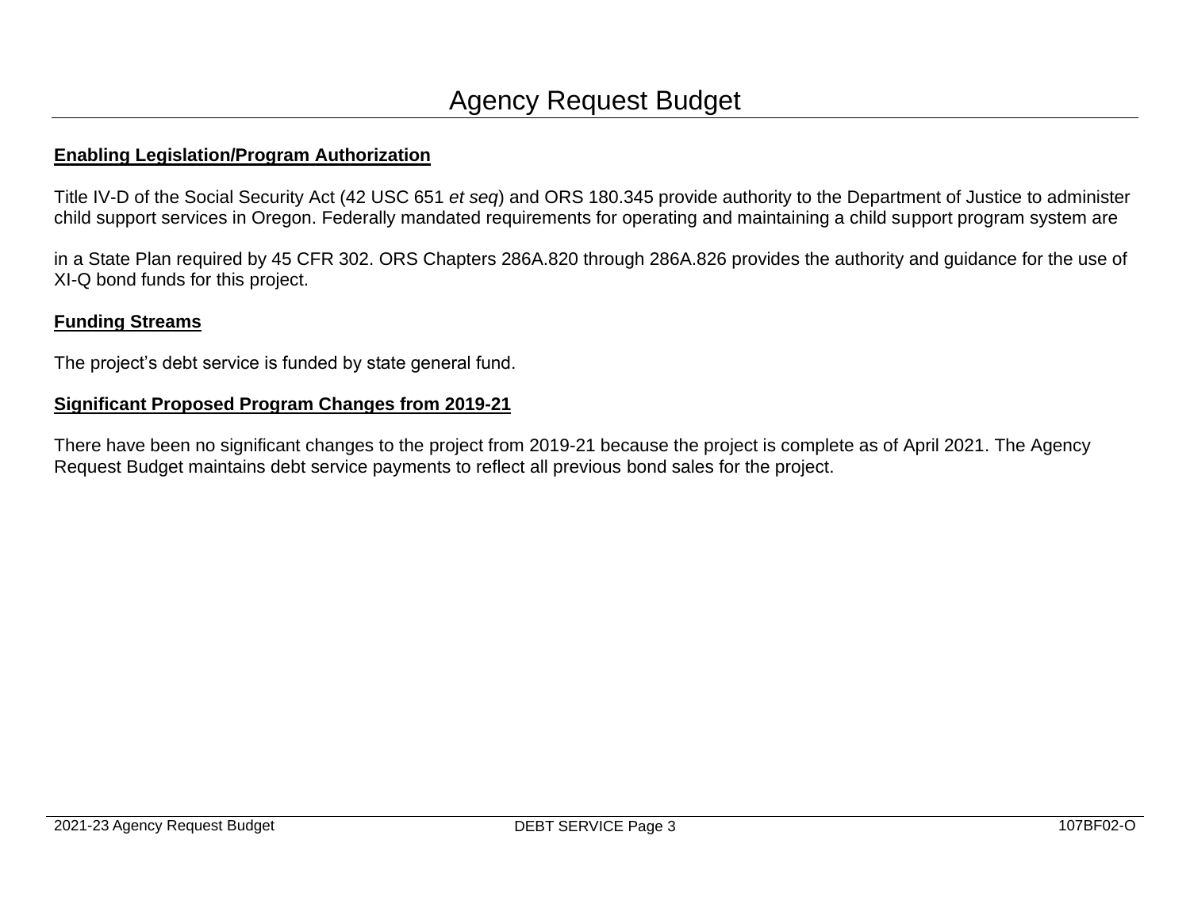### **Enabling Legislation/Program Authorization**

Title IV-D of the Social Security Act (42 USC 651 *et seq*) and ORS 180.345 provide authority to the Department of Justice to administer child support services in Oregon. Federally mandated requirements for operating and maintaining a child support program system are

in a State Plan required by 45 CFR 302. ORS Chapters 286A.820 through 286A.826 provides the authority and guidance for the use of XI-Q bond funds for this project.

# **Funding Streams**

The project's debt service is funded by state general fund.

## **Significant Proposed Program Changes from 2019-21**

There have been no significant changes to the project from 2019-21 because the project is complete as of April 2021. The Agency Request Budget maintains debt service payments to reflect all previous bond sales for the project.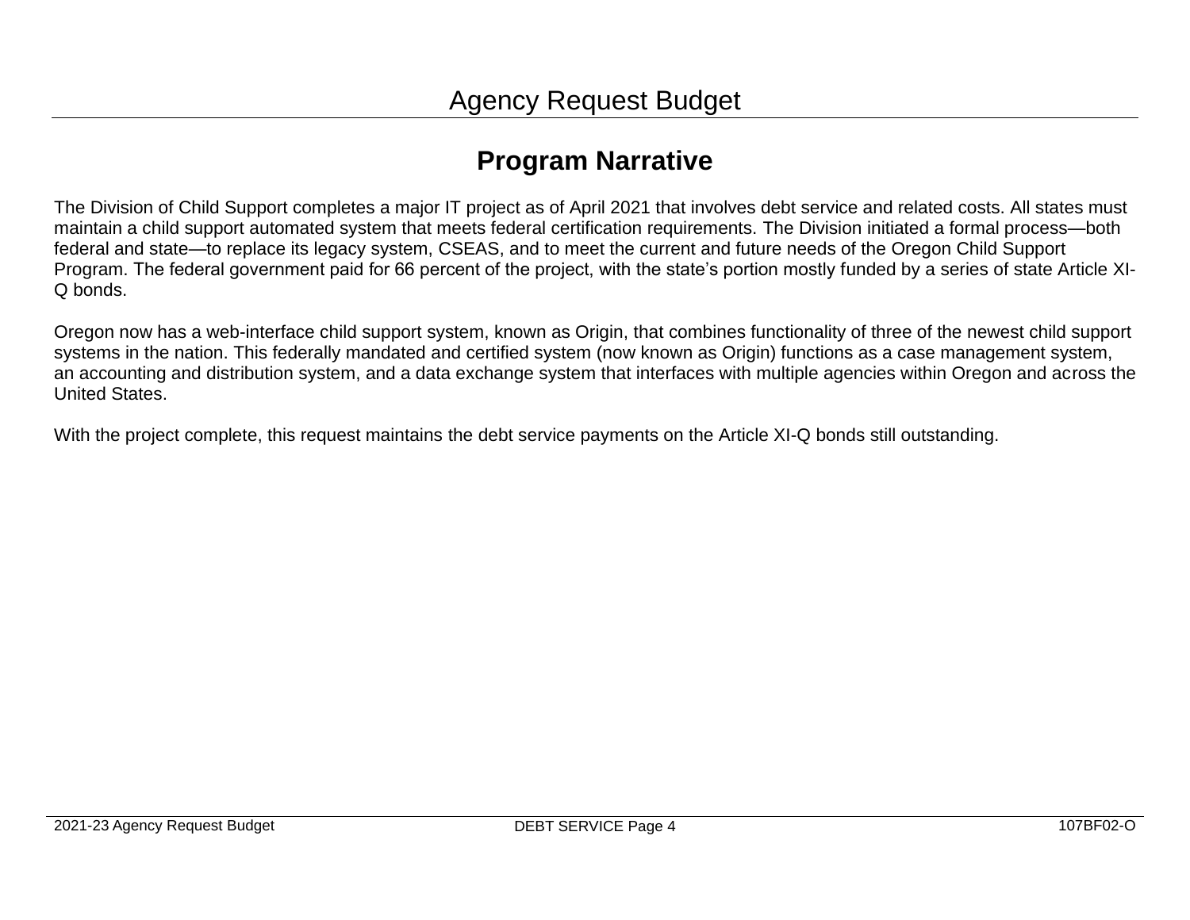# **Program Narrative**

The Division of Child Support completes a major IT project as of April 2021 that involves debt service and related costs. All states must maintain a child support automated system that meets federal certification requirements. The Division initiated a formal process—both federal and state—to replace its legacy system, CSEAS, and to meet the current and future needs of the Oregon Child Support Program. The federal government paid for 66 percent of the project, with the state's portion mostly funded by a series of state Article XI-Q bonds.

Oregon now has a web-interface child support system, known as Origin, that combines functionality of three of the newest child support systems in the nation. This federally mandated and certified system (now known as Origin) functions as a case management system, an accounting and distribution system, and a data exchange system that interfaces with multiple agencies within Oregon and across the United States.

With the project complete, this request maintains the debt service payments on the Article XI-Q bonds still outstanding.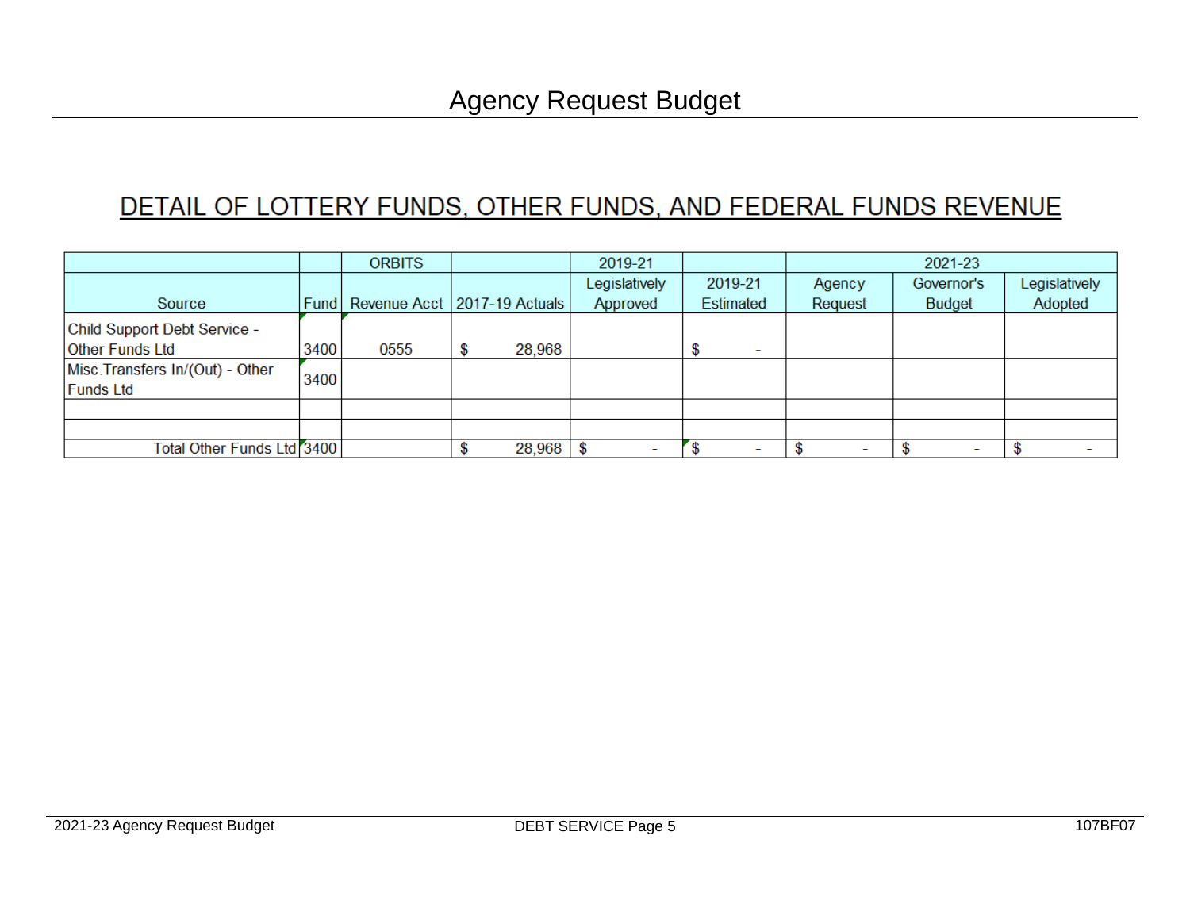# DETAIL OF LOTTERY FUNDS, OTHER FUNDS, AND FEDERAL FUNDS REVENUE

|                                         |      | <b>ORBITS</b>                  |              | 2019-21                  |                          | 2021-23                  |               |               |
|-----------------------------------------|------|--------------------------------|--------------|--------------------------|--------------------------|--------------------------|---------------|---------------|
|                                         |      |                                |              | Legislatively            | 2019-21                  | Agency                   | Governor's    | Legislatively |
| Source                                  | Fund | Revenue Acct   2017-19 Actuals |              | Approved                 | Estimated                | Request                  | <b>Budget</b> | Adopted       |
| Child Support Debt Service -            |      |                                |              |                          |                          |                          |               |               |
| <b>Other Funds Ltd</b>                  | 3400 | 0555                           | \$<br>28,968 |                          | $\overline{\phantom{0}}$ |                          |               |               |
| Misc. Transfers In/(Out) - Other        | 3400 |                                |              |                          |                          |                          |               |               |
| <b>Funds Ltd</b>                        |      |                                |              |                          |                          |                          |               |               |
|                                         |      |                                |              |                          |                          |                          |               |               |
|                                         |      |                                |              |                          |                          |                          |               |               |
| Total Other Funds Ltd <sup>7</sup> 3400 |      |                                | 28,968       | $\overline{\phantom{a}}$ |                          | $\overline{\phantom{a}}$ |               |               |